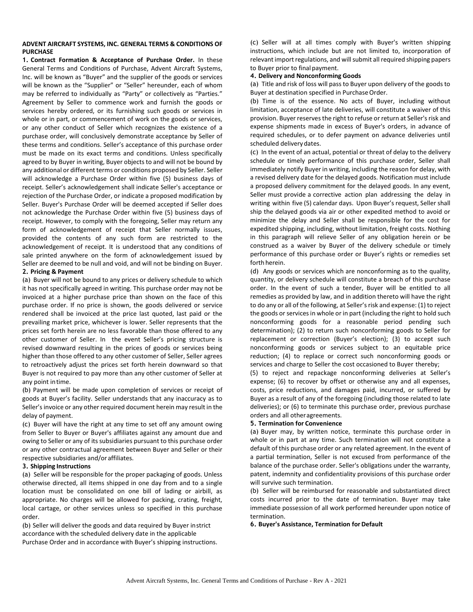## **ADVENT AIRCRAFT SYSTEMS, INC. GENERAL TERMS & CONDITIONS OF PURCHASE**

**1. Contract Formation & Acceptance of Purchase Order.** In these General Terms and Conditions of Purchase, Advent Aircraft Systems, Inc. will be known as "Buyer" and the supplier of the goods or services will be known as the "Supplier" or "Seller" hereunder, each of whom may be referred to individually as "Party" or collectively as "Parties." Agreement by Seller to commence work and furnish the goods or services hereby ordered, or its furnishing such goods or services in whole or in part, or commencement of work on the goods or services, or any other conduct of Seller which recognizes the existence of a purchase order, will conclusively demonstrate acceptance by Seller of these terms and conditions. Seller's acceptance of this purchase order must be made on its exact terms and conditions. Unless specifically agreed to by Buyer in writing, Buyer objects to and will not be bound by any additional or different terms or conditions proposed by Seller. Seller will acknowledge a Purchase Order within five (5) business days of receipt. Seller's acknowledgement shall indicate Seller's acceptance or rejection of the Purchase Order, or indicate a proposed modification by Seller. Buyer's Purchase Order will be deemed accepted if Seller does not acknowledge the Purchase Order within five (5) business days of receipt. However, to comply with the foregoing, Seller may return any form of acknowledgement of receipt that Seller normally issues, provided the contents of any such form are restricted to the acknowledgement of receipt. It is understood that any conditions of sale printed anywhere on the form of acknowledgement issued by Seller are deemed to be null and void, and will not be binding on Buyer.

## **2. Pricing & Payment**

(a) Buyer will not be bound to any prices or delivery schedule to which it has not specifically agreed in writing. This purchase order may not be invoiced at a higher purchase price than shown on the face of this purchase order. If no price is shown, the goods delivered or service rendered shall be invoiced at the price last quoted, last paid or the prevailing market price, whichever is lower. Seller represents that the prices set forth herein are no less favorable than those offered to any other customer of Seller. In the event Seller's pricing structure is revised downward resulting in the prices of goods or services being higher than those offered to any other customer of Seller, Seller agrees to retroactively adjust the prices set forth herein downward so that Buyer is not required to pay more than any other customer of Seller at any point intime.

(b) Payment will be made upon completion of services or receipt of goods at Buyer's facility. Seller understands that any inaccuracy as to Seller's invoice or any other required document herein may result in the delay of payment.

(c) Buyer will have the right at any time to set off any amount owing from Seller to Buyer or Buyer's affiliates against any amount due and owing to Seller or any of its subsidiaries pursuant to this purchase order or any other contractual agreement between Buyer and Seller or their respective subsidiaries and/or affiliates.

## **3. Shipping Instructions**

(a) Seller will be responsible for the proper packaging of goods. Unless otherwise directed, all items shipped in one day from and to a single location must be consolidated on one bill of lading or airbill, as appropriate. No charges will be allowed for packing, crating, freight, local cartage, or other services unless so specified in this purchase order.

(b) Seller will deliver the goods and data required by Buyer instrict accordance with the scheduled delivery date in the applicable Purchase Order and in accordance with Buyer's shipping instructions. (c) Seller will at all times comply with Buyer's written shipping instructions, which include but are not limited to, incorporation of relevant import regulations, and will submit all required shipping papers to Buyer prior to final payment.

## **4. Delivery and Nonconforming Goods**

(a) Title and risk of loss will pass to Buyer upon delivery of the goods to Buyer at destination specified in Purchase Order.

(b) Time is of the essence. No acts of Buyer, including without limitation, acceptance of late deliveries, will constitute a waiver of this provision. Buyer reserves the right to refuse or return at Seller's risk and expense shipments made in excess of Buyer's orders, in advance of required schedules, or to defer payment on advance deliveries until scheduled delivery dates.

(c) In the event of an actual, potential or threat of delay to the delivery schedule or timely performance of this purchase order, Seller shall immediately notify Buyer in writing, including the reason for delay, with a revised delivery date for the delayed goods. Notification must include a proposed delivery commitment for the delayed goods. In any event, Seller must provide a corrective action plan addressing the delay in writing within five (5) calendar days. Upon Buyer's request, Seller shall ship the delayed goods via air or other expedited method to avoid or minimize the delay and Seller shall be responsible for the cost for expedited shipping, including, without limitation, freight costs. Nothing in this paragraph will relieve Seller of any obligation herein or be construed as a waiver by Buyer of the delivery schedule or timely performance of this purchase order or Buyer's rights or remedies set forth herein.

(d) Any goods or services which are nonconforming as to the quality, quantity, or delivery schedule will constitute a breach of this purchase order. In the event of such a tender, Buyer will be entitled to all remedies as provided by law, and in addition thereto will have the right to do any or all of the following, at Seller's risk and expense: (1) to reject the goods or services in whole or in part (including the right to hold such nonconforming goods for a reasonable period pending such determination); (2) to return such nonconforming goods to Seller for replacement or correction (Buyer's election); (3) to accept such nonconforming goods or services subject to an equitable price reduction; (4) to replace or correct such nonconforming goods or services and charge to Seller the cost occasioned to Buyer thereby;

(5) to reject and repackage nonconforming deliveries at Seller's expense; (6) to recover by offset or otherwise any and all expenses, costs, price reductions, and damages paid, incurred, or suffered by Buyer as a result of any of the foregoing (including those related to late deliveries); or (6) to terminate this purchase order, previous purchase orders and all otheragreements.

# **5. Termination for Convenience**

(a) Buyer may, by written notice, terminate this purchase order in whole or in part at any time. Such termination will not constitute a default of this purchase order or any related agreement. In the event of a partial termination, Seller is not excused from performance of the balance of the purchase order. Seller's obligations under the warranty, patent, indemnity and confidentiality provisions of this purchase order will survive such termination.

(b) Seller will be reimbursed for reasonable and substantiated direct costs incurred prior to the date of termination. Buyer may take immediate possession of all work performed hereunder upon notice of termination.

**6. Buyer's Assistance, Termination for Default**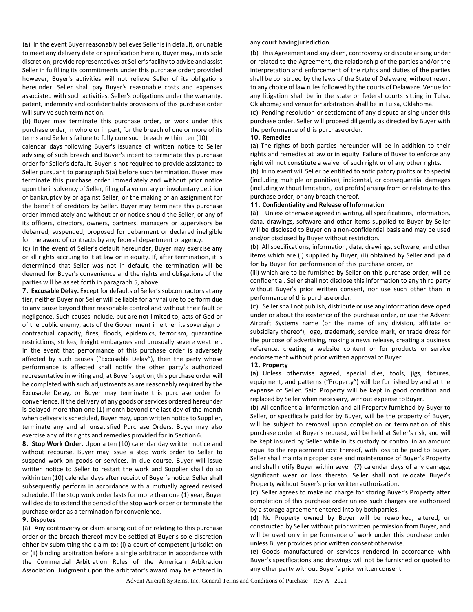(a) In the event Buyer reasonably believes Seller is in default, or unable to meet any delivery date or specification herein, Buyer may, in its sole discretion, provide representatives at Seller's facility to advise and assist Seller in fulfilling its commitments under this purchase order; provided however, Buyer's activities will not relieve Seller of its obligations hereunder. Seller shall pay Buyer's reasonable costs and expenses associated with such activities. Seller's obligations under the warranty, patent, indemnity and confidentiality provisions of this purchase order will survive such termination.

(b) Buyer may terminate this purchase order, or work under this purchase order, in whole or in part, for the breach of one or more of its terms and Seller's failure to fully cure such breach within ten (10)

calendar days following Buyer's issuance of written notice to Seller advising of such breach and Buyer's intent to terminate this purchase order for Seller's default. Buyer is not required to provide assistance to Seller pursuant to paragraph 5(a) before such termination. Buyer may terminate this purchase order immediately and without prior notice upon the insolvency of Seller, filing of a voluntary or involuntary petition of bankruptcy by or against Seller, or the making of an assignment for the benefit of creditors by Seller. Buyer may terminate this purchase order immediately and without prior notice should the Seller, or any of its officers, directors, owners, partners, managers or supervisors be debarred, suspended, proposed for debarment or declared ineligible for the award of contracts by any federal department or agency.

(c) In the event of Seller's default hereunder, Buyer may exercise any or all rights accruing to it at law or in equity. If, after termination, it is determined that Seller was not in default, the termination will be deemed for Buyer's convenience and the rights and obligations of the parties will be as set forth in paragraph 5, above.

**7. Excusable Delay.** Except for defaults of Seller's subcontractors at any tier, neither Buyer nor Seller will be liable for any failure to perform due to any cause beyond their reasonable control and without their fault or negligence. Such causes include, but are not limited to, acts of God or of the public enemy, acts of the Government in either its sovereign or contractual capacity, fires, floods, epidemics, terrorism, quarantine restrictions, strikes, freight embargoes and unusually severe weather. In the event that performance of this purchase order is adversely affected by such causes ("Excusable Delay"), then the party whose performance is affected shall notify the other party's authorized representative in writing and, at Buyer's option, this purchase order will be completed with such adjustments as are reasonably required by the Excusable Delay, or Buyer may terminate this purchase order for convenience. If the delivery of any goods or services ordered hereunder is delayed more than one (1) month beyond the last day of the month when delivery is scheduled, Buyer may, upon written notice to Supplier, terminate any and all unsatisfied Purchase Orders. Buyer may also exercise any of its rights and remedies provided for in Section 6.

**8. Stop Work Order.** Upon a ten (10) calendar day written notice and without recourse, Buyer may issue a stop work order to Seller to suspend work on goods or services. In due course, Buyer will issue written notice to Seller to restart the work and Supplier shall do so within ten (10) calendar days after receipt of Buyer's notice. Seller shall subsequently perform in accordance with a mutually agreed revised schedule. If the stop work order lasts for more than one (1) year, Buyer will decide to extend the period of the stop work order or terminate the purchase order as a termination for convenience.

## **9. Disputes**

(a) Any controversy or claim arising out of or relating to this purchase order or the breach thereof may be settled at Buyer's sole discretion either by submitting the claim to: (i) a court of competent jurisdiction or (ii) binding arbitration before a single arbitrator in accordance with the Commercial Arbitration Rules of the American Arbitration Association. Judgment upon the arbitrator's award may be entered in

any court havingjurisdiction.

(b) This Agreement and any claim, controversy or dispute arising under or related to the Agreement, the relationship of the parties and/or the interpretation and enforcement of the rights and duties of the parties shall be construed by the laws of the State of Delaware, without resort to any choice of law rules followed by the courts of Delaware. Venue for any litigation shall be in the state or federal courts sitting in Tulsa, Oklahoma; and venue for arbitration shall be in Tulsa, Oklahoma.

(c) Pending resolution or settlement of any dispute arising under this purchase order, Seller will proceed diligently as directed by Buyer with the performance of this purchaseorder.

## **10. Remedies**

(a) The rights of both parties hereunder will be in addition to their rights and remedies at law or in equity. Failure of Buyer to enforce any right will not constitute a waiver of such right or of any other rights.

(b) In no event will Seller be entitled to anticipatory profits or to special (including multiple or punitive), incidental, or consequential damages (including without limitation, lost profits) arising from or relating to this purchase order, or any breach thereof.

# **11. Confidentiality and Release ofInformation**

(a) Unless otherwise agreed in writing, all specifications, information, data, drawings, software and other items supplied to Buyer by Seller will be disclosed to Buyer on a non-confidential basis and may be used and/or disclosed by Buyer without restriction.

(b) All specifications, information, data, drawings, software, and other items which are (i) supplied by Buyer, (ii) obtained by Seller and paid for by Buyer for performance of this purchase order, or

(iii) which are to be furnished by Seller on this purchase order, will be confidential. Seller shall not disclose this information to any third party without Buyer's prior written consent, nor use such other than in performance of this purchase order.

(c) Seller shall not publish, distribute or use any information developed under or about the existence of this purchase order, or use the Advent Aircraft Systems name (or the name of any division, affiliate or subsidiary thereof), logo, trademark, service mark, or trade dress for the purpose of advertising, making a news release, creating a business reference, creating a website content or for products or service endorsement without prior written approval of Buyer.

# **12. Property**

(a) Unless otherwise agreed, special dies, tools, jigs, fixtures, equipment, and patterns ("Property") will be furnished by and at the expense of Seller. Said Property will be kept in good condition and replaced by Seller when necessary, without expense to Buyer.

(b) All confidential information and all Property furnished by Buyer to Seller, or specifically paid for by Buyer, will be the property of Buyer, will be subject to removal upon completion or termination of this purchase order at Buyer's request, will be held at Seller's risk, and will be kept insured by Seller while in its custody or control in an amount equal to the replacement cost thereof, with loss to be paid to Buyer. Seller shall maintain proper care and maintenance of Buyer's Property and shall notify Buyer within seven (7) calendar days of any damage, significant wear or loss thereto. Seller shall not relocate Buyer's Property without Buyer's prior written authorization.

(c) Seller agrees to make no charge for storing Buyer's Property after completion of this purchase order unless such charges are authorized by a storage agreement entered into by bothparties.

(d) No Property owned by Buyer will be reworked, altered, or constructed by Seller without prior written permission from Buyer, and will be used only in performance of work under this purchase order unless Buyer provides prior written consent otherwise.

(e) Goods manufactured or services rendered in accordance with Buyer's specifications and drawings will not be furnished or quoted to any other party without Buyer's prior written consent.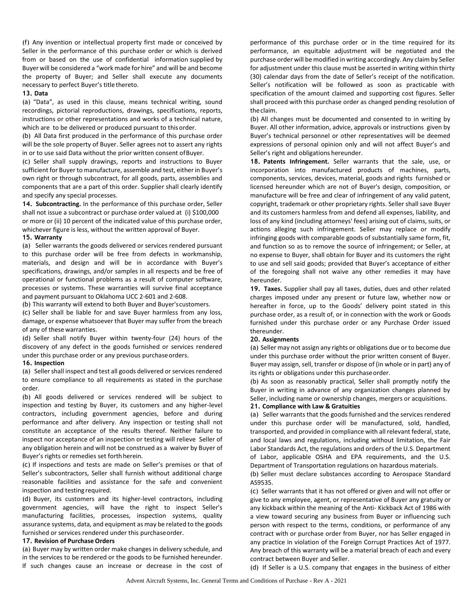(f) Any invention or intellectual property first made or conceived by Seller in the performance of this purchase order or which is derived from or based on the use of confidential information supplied by Buyer will be considered a "work made for hire" and will be and become the property of Buyer; and Seller shall execute any documents necessary to perfect Buyer's title thereto.

#### **13. Data**

(a) "Data", as used in this clause, means technical writing, sound recordings, pictorial reproductions, drawings, specifications, reports, instructions or other representations and works of a technical nature, which are to be delivered or produced pursuant to thisorder.

(b) All Data first produced in the performance of this purchase order will be the sole property of Buyer. Seller agrees not to assert any rights in or to use said Data without the prior written consent of Buyer.

(c) Seller shall supply drawings, reports and instructions to Buyer sufficient for Buyer to manufacture, assemble and test, either in Buyer's own right or through subcontract, for all goods, parts, assemblies and components that are a part of this order. Supplier shall clearly identify and specify any special processes.

**14. Subcontracting.** In the performance of this purchase order, Seller shall not issue a subcontract or purchase order valued at (i) \$100,000 or more or (ii) 10 percent of the indicated value of this purchase order, whichever figure is less, without the written approval of Buyer.

## **15. Warranty**

(a) Seller warrants the goods delivered or services rendered pursuant to this purchase order will be free from defects in workmanship, materials, and design and will be in accordance with Buyer's specifications, drawings, and/or samples in all respects and be free of operational or functional problems as a result of computer software, processes or systems. These warranties will survive final acceptance and payment pursuant to Oklahoma UCC 2-601 and 2-608.

(b) This warranty will extend to both Buyer and Buyer'scustomers.

(c) Seller shall be liable for and save Buyer harmless from any loss, damage, or expense whatsoever that Buyer may suffer from the breach of any of these warranties.

(d) Seller shall notify Buyer within twenty-four (24) hours of the discovery of any defect in the goods furnished or services rendered under this purchase order or any previous purchaseorders.

## **16. Inspection**

(a) Seller shall inspect and test all goods delivered or services rendered to ensure compliance to all requirements as stated in the purchase order.

(b) All goods delivered or services rendered will be subject to inspection and testing by Buyer, its customers and any higher-level contractors, including government agencies, before and during performance and after delivery. Any inspection or testing shall not constitute an acceptance of the results thereof. Neither failure to inspect nor acceptance of an inspection or testing will relieve Seller of any obligation herein and will not be construed as a waiver by Buyer of Buyer's rights or remedies set forth herein.

(c) If inspections and tests are made on Seller's premises or that of Seller's subcontractors, Seller shall furnish without additional charge reasonable facilities and assistance for the safe and convenient inspection and testing required.

(d) Buyer, its customers and its higher-level contractors, including government agencies, will have the right to inspect Seller's manufacturing facilities, processes, inspection systems, quality assurance systems, data, and equipment as may be related to the goods furnished or services rendered under this purchaseorder.

## **17. Revision of Purchase Orders**

(a) Buyer may by written order make changes in delivery schedule, and in the services to be rendered or the goods to be furnished hereunder. If such changes cause an increase or decrease in the cost of

performance of this purchase order or in the time required for its performance, an equitable adjustment will be negotiated and the purchase order will be modified in writing accordingly. Any claim by Seller for adjustment under this clause must be asserted in writing within thirty (30) calendar days from the date of Seller's receipt of the notification. Seller's notification will be followed as soon as practicable with specification of the amount claimed and supporting cost figures. Seller shall proceed with this purchase order as changed pending resolution of the claim.

(b) All changes must be documented and consented to in writing by Buyer. All other information, advice, approvals or instructions given by Buyer's technical personnel or other representatives will be deemed expressions of personal opinion only and will not affect Buyer's and Seller's right and obligations hereunder.

**18. Patents Infringement.** Seller warrants that the sale, use, or incorporation into manufactured products of machines, parts, components, services, devices, material, goods and rights furnished or licensed hereunder which are not of Buyer's design, composition, or manufacture will be free and clear of infringement of any valid patent, copyright, trademark or other proprietary rights. Seller shall save Buyer and its customers harmless from and defend all expenses, liability, and loss of any kind (including attorneys' fees) arising out of claims, suits, or actions alleging such infringement. Seller may replace or modify infringing goods with comparable goods of substantially same form, fit, and function so as to remove the source of infringement; or Seller, at no expense to Buyer, shall obtain for Buyer and its customers the right to use and sell said goods; provided that Buyer's acceptance of either of the foregoing shall not waive any other remedies it may have hereunder.

**19. Taxes.** Supplier shall pay all taxes, duties, dues and other related charges imposed under any present or future law, whether now or hereafter in force, up to the Goods' delivery point stated in this purchase order, as a result of, or in connection with the work or Goods furnished under this purchase order or any Purchase Order issued thereunder.

## **20. Assignments**

(a) Seller may not assign any rights or obligations due or to become due under this purchase order without the prior written consent of Buyer. Buyer may assign, sell, transfer or dispose of (in whole or in part) any of its rights or obligations under this purchaseorder.

(b) As soon as reasonably practical, Seller shall promptly notify the Buyer in writing in advance of any organization changes planned by Seller, including name or ownership changes, mergers or acquisitions.

## **21. Compliance with Law & Gratuities**

(a) Seller warrants that the goods furnished and the services rendered under this purchase order will be manufactured, sold, handled, transported, and provided in compliance with all relevant federal, state, and local laws and regulations, including without limitation, the Fair Labor Standards Act, the regulations and orders of the U.S. Department of Labor, applicable OSHA and EPA requirements, and the U.S. Department of Transportation regulations on hazardous materials.

(b) Seller must declare substances according to Aerospace Standard AS9535.

(c) Seller warrants that it has not offered or given and will not offer or give to any employee, agent, or representative of Buyer any gratuity or any kickback within the meaning of the Anti- Kickback Act of 1986 with a view toward securing any business from Buyer or influencing such person with respect to the terms, conditions, or performance of any contract with or purchase order from Buyer, nor has Seller engaged in any practice in violation of the Foreign Corrupt Practices Act of 1977. Any breach of this warranty will be a material breach of each and every contract between Buyer and Seller.

(d) If Seller is a U.S. company that engages in the business of either